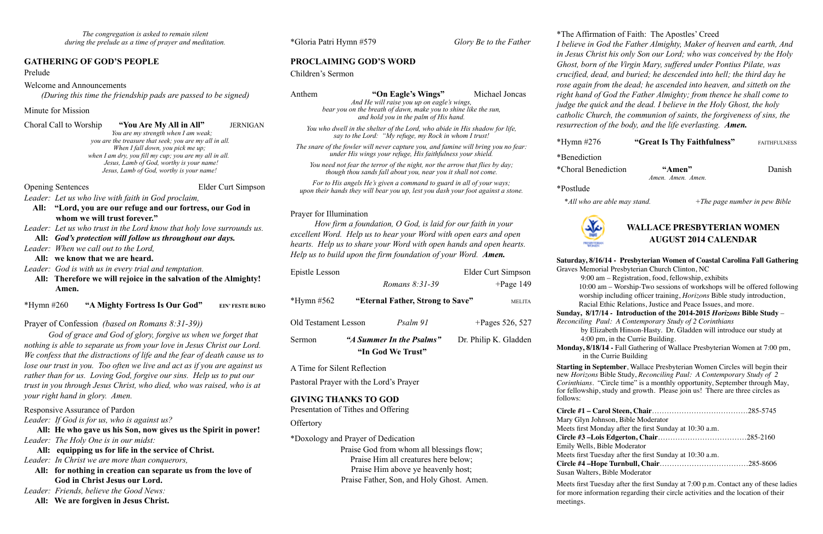## **GATHERING OF GOD'S PEOPLE**

Prelude

Welcome and Announcements

*(During this time the friendship pads are passed to be signed)* 

Minute for Mission

Choral Call to Worship **"You Are My All in All"** JERNIGAN

 *You are my strength when I am weak; you are the treasure that seek; you are my all in all. When I fall down, you pick me up; when I am dry, you fill my cup; you are my all in all. Jesus, Lamb of God, worthy is your name! Jesus, Lamb of God, worthy is your name!* 

- *Leader: When we call out to the Lord,* 
	- All: we know that we are heard.

Opening Sentences Elder Curt Simpson

*Leader: Let us who live with faith in God proclaim,* 

- **All: "Lord, you are our refuge and our fortress, our God in whom we will trust forever."**
- *Leader: Let us who trust in the Lord know that holy love surrounds us.*

**All:** *God's protection will follow us throughout our days.* 

*Leader: God is with us in every trial and temptation.* 

**All: Therefore we will rejoice in the salvation of the Almighty! Amen.** 

\*Hymn #260 **"A Mighty Fortress Is Our God" EIN' FESTE BURO**

# Prayer of Confession *(based on Romans 8:31-39))*

*God of grace and God of glory, forgive us when we forget that nothing is able to separate us from your love in Jesus Christ our Lord. We confess that the distractions of life and the fear of death cause us to lose our trust in you. Too often we live and act as if you are against us rather than for us. Loving God, forgive our sins. Help us to put our trust in you through Jesus Christ, who died, who was raised, who is at your right hand in glory. Amen.*

Responsive Assurance of Pardon

*Leader: If God is for us, who is against us?*

**All: He who gave us his Son, now gives us the Spirit in power!** *Leader: The Holy One is in our midst:*

- **All: equipping us for life in the service of Christ.**
- *Leader: In Christ we are more than conquerors,*
	- **All: for nothing in creation can separate us from the love of God in Christ Jesus our Lord.**

*Leader: Friends, believe the Good News:* 

**All: We are forgiven in Jesus Christ.**

\*Gloria Patri Hymn #579 *Glory Be to the Father* 

# **PROCLAIMING GOD'S WORD**

Children's Sermon

Anthem **"On Eagle's Wings"** Michael Joncas

*And He will raise you up on eagle's wings, bear you on the breath of dawn, make you to shine like the sun, and hold you in the palm of His hand.* 

*You who dwell in the shelter of the Lord, who abide in His shadow for life, say to the Lord: "My refuge, my Rock in whom I trust!* 

*The snare of the fowler will never capture you, and famine will bring you no fear: under His wings your refuge, His faithfulness your shield.* 

*You need not fear the terror of the night, nor the arrow that flies by day; though thou sands fall about you, near you it shall not come.* 

*For to His angels He's given a command to guard in all of your ways; upon their hands they will bear you up, lest you dash your foot against a stone.* 

#### Prayer for Illumination

 *How firm a foundation, O God, is laid for our faith in your excellent Word. Help us to hear your Word with open ears and open hearts. Help us to share your Word with open hands and open hearts. Help us to build upon the firm foundation of your Word. Amen.* 

| Epistle Lesson       |                                               |                                  |                       | Elder Curt Simpson |
|----------------------|-----------------------------------------------|----------------------------------|-----------------------|--------------------|
|                      |                                               | Romans $8:31-39$                 |                       | $+$ Page 149       |
| *Hymn $#562$         |                                               | "Eternal Father, Strong to Save" |                       | <b>MELITA</b>      |
| Old Testament Lesson |                                               | Psalm 91                         |                       | +Pages 526, 527    |
| Sermon               | "A Summer In the Psalms"<br>"In God We Trust" |                                  | Dr. Philip K. Gladden |                    |

A Time for Silent Reflection

Pastoral Prayer with the Lord's Prayer

### **GIVING THANKS TO GOD**

Presentation of Tithes and Offering

### **Offertory**

\*Doxology and Prayer of Dedication Praise God from whom all blessings flow; Praise Him all creatures here below; Praise Him above ye heavenly host;

Praise Father, Son, and Holy Ghost. Amen.

\*The Affirmation of Faith: The Apostles' Creed *I believe in God the Father Almighty, Maker of heaven and earth, And in Jesus Christ his only Son our Lord; who was conceived by the Holy Ghost, born of the Virgin Mary, suffered under Pontius Pilate, was crucified, dead, and buried; he descended into hell; the third day he rose again from the dead; he ascended into heaven, and sitteth on the right hand of God the Father Almighty; from thence he shall come to judge the quick and the dead. I believe in the Holy Ghost, the holy catholic Church, the communion of saints, the forgiveness of sins, the resurrection of the body, and the life everlasting. Amen.*

\*Benediction

\*Choral Benediction **"Amen"** Danish *Amen. Amen. Amen.* 

\*Postlude

\**All who are able may stand. +The page number in pew Bible* 



#### **WALLACE PRESBYTERIAN WOMEN AUGUST 2014 CALENDAR**

**Saturday, 8/16/14 - Presbyterian Women of Coastal Carolina Fall Gathering**  Graves Memorial Presbyterian Church Clinton, NC

9:00 am – Registration, food, fellowship, exhibits

 10:00 am – Worship-Two sessions of workshops will be offered following worship including officer training, *Horizons* Bible study introduction,

Racial Ethic Relations, Justice and Peace Issues, and more.

**Sunday, 8/17/14 - Introduction of the 2014-2015** *Horizons* **Bible Study** – *Reconciling Paul: A Contemporary Study of 2 Corinthians*

> by Elizabeth Hinson-Hasty.Dr. Gladden will introduce our study at 4:00 pm, in the Currie Building.

**Monday, 8/18/14 -** Fall Gathering of Wallace Presbyterian Women at 7:00 pm, in the Currie Building

**Starting in September**, Wallace Presbyterian Women Circles will begin their new *Horizons* Bible Study, *Reconciling Paul: A Contemporary Study of 2 Corinthians.* "Circle time" is a monthly opportunity, September through May, for fellowship, study and growth. Please join us! There are three circles as follows:

**Circle #1 – Carol Steen, Chair**…………………………………285-5745 Mary Glyn Johnson, Bible Moderator Meets first Monday after the first Sunday at 10:30 a.m. **Circle #3 –Lois Edgerton, Chair**………………………………285-2160 Emily Wells, Bible Moderator Meets first Tuesday after the first Sunday at 10:30 a.m. **Circle #4 –Hope Turnbull, Chair**………………………………285-8606 Susan Walters, Bible Moderator

Meets first Tuesday after the first Sunday at 7:00 p.m. Contact any of these ladies for more information regarding their circle activities and the location of their

meetings.

\*Hymn #276 **"Great Is Thy Faithfulness"** FAITHFULNESS